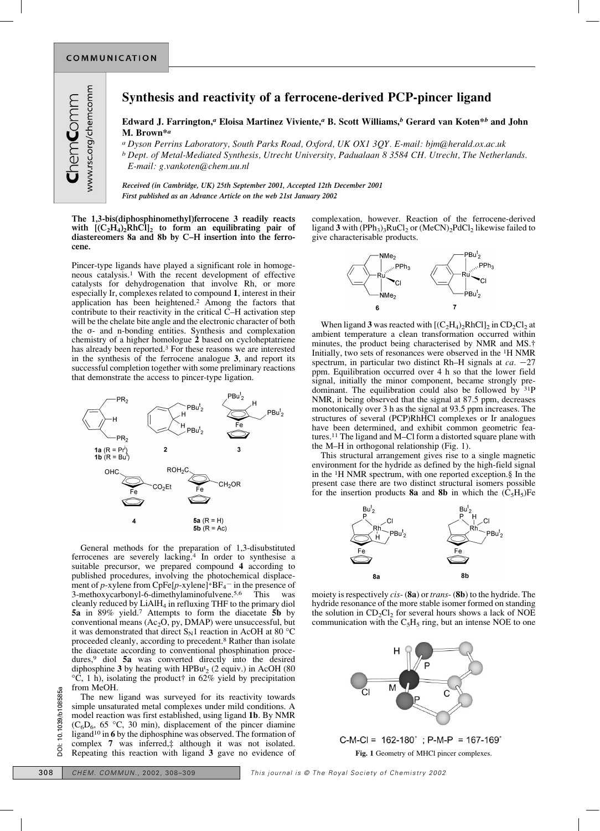## **Synthesis and reactivity of a ferrocene-derived PCP-pincer ligand**

## **Edward J. Farrington,***a* **Eloisa Martinez Viviente,***a* **B. Scott Williams,***b* **Gerard van Koten\****b* **and John M. Brown\****a*

*a Dyson Perrins Laboratory, South Parks Road, Oxford, UK OX1 3QY. E-mail: bjm@herald.ox.ac.uk b Dept. of Metal-Mediated Synthesis, Utrecht University, Padualaan 8 3584 CH. Utrecht, The Netherlands. E-mail: g.vankoten@chem.uu.nl*

*Received (in Cambridge, UK) 25th September 2001, Accepted 12th December 2001 First published as an Advance Article on the web 21st January 2002*

**The 1,3-bis(diphosphinomethyl)ferrocene 3 readily reacts** with  $[(C_2H_4)_2\overline{R}hCl]_2$  to form an equilibrating pair of **diastereomers 8a and 8b by C–H insertion into the ferrocene.**

Pincer-type ligands have played a significant role in homogeneous catalysis.1 With the recent development of effective catalysts for dehydrogenation that involve Rh, or more especially Ir, complexes related to compound **1**, interest in their application has been heightened.2 Among the factors that contribute to their reactivity in the critical C–H activation step will be the chelate bite angle and the electronic character of both the  $\sigma$ - and n-bonding entities. Synthesis and complexation chemistry of a higher homologue **2** based on cycloheptatriene has already been reported.3 For these reasons we are interested in the synthesis of the ferrocene analogue **3**, and report its successful completion together with some preliminary reactions that demonstrate the access to pincer-type ligation.



General methods for the preparation of 1,3-disubstituted ferrocenes are severely lacking.4 In order to synthesise a suitable precursor, we prepared compound **4** according to published procedures, involving the photochemical displacement of *p*-xylene from CpFe $[p$ -xylene]<sup>+</sup>BF<sub>4</sub><sup>-</sup> in the presence of 3-methoxycarbonyl-6-dimethylaminofulvene.5,6 This was cleanly reduced by LiAlH4 in refluxing THF to the primary diol **5a** in 89% yield.7 Attempts to form the diacetate **5b** by conventional means (Ac2O, py, DMAP) were unsuccessful, but it was demonstrated that direct  $S_N1$  reaction in AcOH at 80 °C proceeded cleanly, according to precedent.8 Rather than isolate the diacetate according to conventional phosphination procedures,9 diol **5a** was converted directly into the desired diphosphine **3** by heating with HPBut <sup>2</sup> (2 equiv.) in AcOH (80  $°C$ , 1 h), isolating the product<sup>†</sup> in 62% yield by precipitation from MeOH.

The new ligand was surveyed for its reactivity towards simple unsaturated metal complexes under mild conditions. A model reaction was first established, using ligand **1b**. By NMR  $(C_6D_6, 65 \text{ °C}, 30 \text{ min})$ , displacement of the pincer diamine ligand10 in **6** by the diphosphine was observed. The formation of complex **7** was inferred,‡ although it was not isolated. Repeating this reaction with ligand **3** gave no evidence of 308 **CHEM.** COMMUN., 2002, 308–309 **CHEM.** COMMUN., 2002, 308–309 **CHEM.** COMMUN., 2002, 308–309 **CHEM.** COMMUN., 2002, 308–309 **CHEM.** COMMUN., 2002, 308–309 **CHEM.** COMMUN., 2002, 308–309 **CHEM.** COMMUN., 2002, 308–309

complexation, however. Reaction of the ferrocene-derived ligand 3 with (PPh<sub>3</sub>)<sub>3</sub>RuCl<sub>2</sub> or (MeCN)<sub>2</sub>PdCl<sub>2</sub> likewise failed to give characterisable products.



When ligand 3 was reacted with  $\left[\frac{C_2H_4}{2}RhCl_2\right]$  in  $CD_2Cl_2$  at ambient temperature a clean transformation occurred within minutes, the product being characterised by NMR and MS.† Initially, two sets of resonances were observed in the 1H NMR spectrum, in particular two distinct Rh–H signals at  $ca$ .  $-27$ ppm. Equilibration occurred over 4 h so that the lower field signal, initially the minor component, became strongly predominant. The equilibration could also be followed by 31P NMR, it being observed that the signal at 87.5 ppm, decreases monotonically over 3 h as the signal at 93.5 ppm increases. The structures of several (PCP)RhHCl complexes or Ir analogues have been determined, and exhibit common geometric features.11 The ligand and M–Cl form a distorted square plane with the M–H in orthogonal relationship (Fig. 1).

This structural arrangement gives rise to a single magnetic environment for the hydride as defined by the high-field signal in the 1H NMR spectrum, with one reported exception.§ In the present case there are two distinct structural isomers possible for the insertion products **8a** and **8b** in which the  $(\tilde{C}_5H_5)Fe$ 



moiety is respectively *cis*- (**8a**) or *trans*- (**8b**) to the hydride. The hydride resonance of the more stable isomer formed on standing the solution in  $CD_2Cl_2$  for several hours shows a lack of NOE communication with the  $C_5H_5$  ring, but an intense NOE to one



**Fig. 1** Geometry of MHCl pincer complexes.